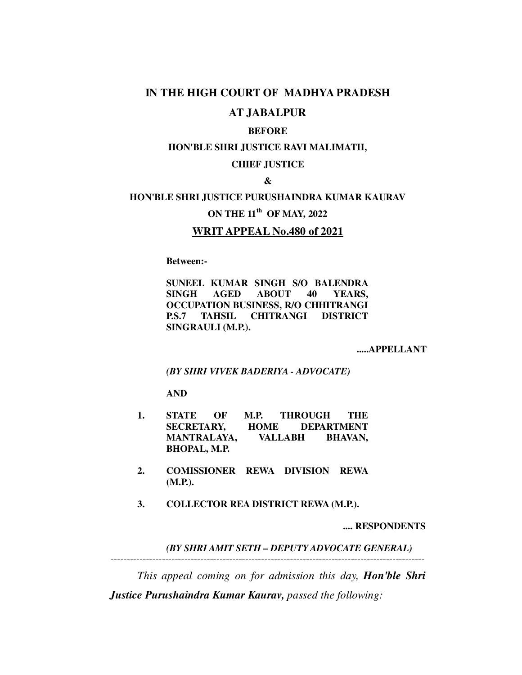### **IN THE HIGH COURT OF MADHYA PRADESH**

## **AT JABALPUR**

### **BEFORE**

#### **HON'BLE SHRI JUSTICE RAVI MALIMATH,**

#### **CHIEF JUSTICE**

#### **&**

## **HON'BLE SHRI JUSTICE PURUSHAINDRA KUMAR KAURAV**

## **ON THE 11th OF MAY, 2022**

### **WRIT APPEAL No.480 of 2021**

 **Between:-**

**SUNEEL KUMAR SINGH S/O BALENDRA SINGH AGED ABOUT 40 YEARS, OCCUPATION BUSINESS, R/O CHHITRANGI P.S.7 TAHSIL CHITRANGI DISTRICT SINGRAULI (M.P.).** 

 **.....APPELLANT**

 *(BY SHRI VIVEK BADERIYA - ADVOCATE)*

**AND**

- **1. STATE OF M.P. THROUGH THE SECRETARY, HOME DEPARTMENT MANTRALAYA, VALLABH BHAVAN, BHOPAL, M.P.**
- **2. COMISSIONER REWA DIVISION REWA (M.P.).**
- **3. COLLECTOR REA DISTRICT REWA (M.P.).**

 **.... RESPONDENTS** 

*(BY SHRI AMIT SETH – DEPUTY ADVOCATE GENERAL)* 

 *This appeal coming on for admission this day, Hon'ble Shri Justice Purushaindra Kumar Kaurav, passed the following:*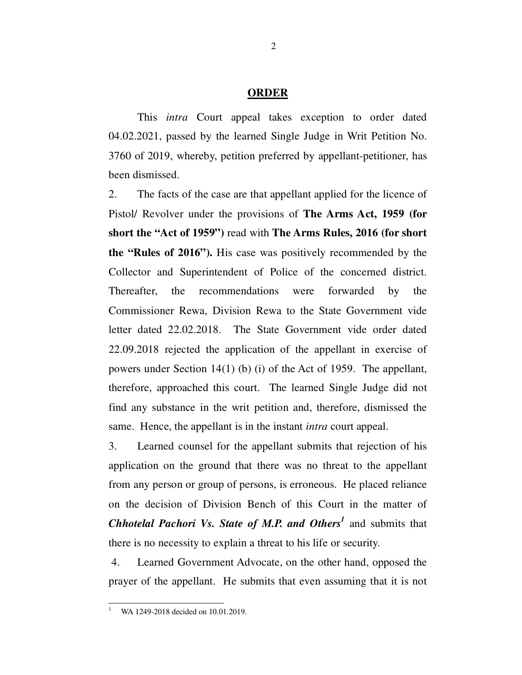#### **ORDER**

This *intra* Court appeal takes exception to order dated 04.02.2021, passed by the learned Single Judge in Writ Petition No. 3760 of 2019, whereby, petition preferred by appellant-petitioner, has been dismissed.

2. The facts of the case are that appellant applied for the licence of Pistol/ Revolver under the provisions of **The Arms Act, 1959 (for short the "Act of 1959")** read with **The Arms Rules, 2016 (for short the "Rules of 2016").** His case was positively recommended by the Collector and Superintendent of Police of the concerned district. Thereafter, the recommendations were forwarded by the Commissioner Rewa, Division Rewa to the State Government vide letter dated 22.02.2018. The State Government vide order dated 22.09.2018 rejected the application of the appellant in exercise of powers under Section 14(1) (b) (i) of the Act of 1959. The appellant, therefore, approached this court. The learned Single Judge did not find any substance in the writ petition and, therefore, dismissed the same. Hence, the appellant is in the instant *intra* court appeal.

3. Learned counsel for the appellant submits that rejection of his application on the ground that there was no threat to the appellant from any person or group of persons, is erroneous. He placed reliance on the decision of Division Bench of this Court in the matter of *Chhotelal Pachori Vs. State of M.P. and Others<sup>1</sup>* and submits that there is no necessity to explain a threat to his life or security.

 4. Learned Government Advocate, on the other hand, opposed the prayer of the appellant. He submits that even assuming that it is not

-1

WA 1249-2018 decided on 10.01.2019.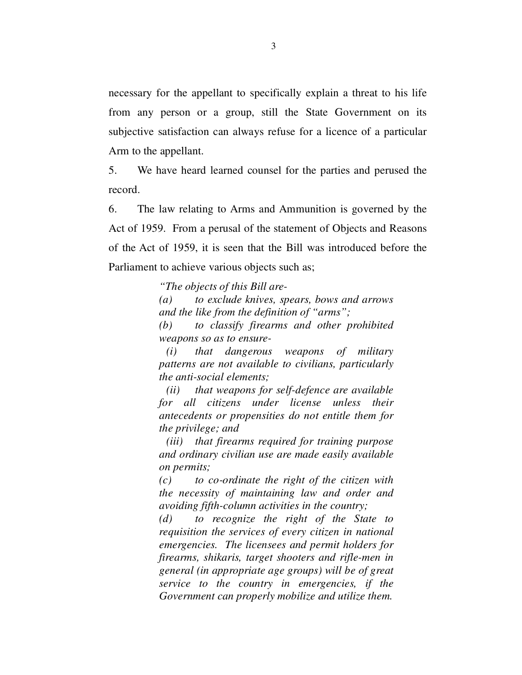necessary for the appellant to specifically explain a threat to his life from any person or a group, still the State Government on its subjective satisfaction can always refuse for a licence of a particular Arm to the appellant.

5. We have heard learned counsel for the parties and perused the record.

6. The law relating to Arms and Ammunition is governed by the Act of 1959. From a perusal of the statement of Objects and Reasons of the Act of 1959, it is seen that the Bill was introduced before the Parliament to achieve various objects such as;

*"The objects of this Bill are-* 

*(a) to exclude knives, spears, bows and arrows and the like from the definition of "arms";* 

*(b) to classify firearms and other prohibited weapons so as to ensure-* 

*(i) that dangerous weapons of military patterns are not available to civilians, particularly the anti-social elements;* 

 *(ii) that weapons for self-defence are available for all citizens under license unless their antecedents or propensities do not entitle them for the privilege; and* 

 *(iii) that firearms required for training purpose and ordinary civilian use are made easily available on permits;* 

*(c) to co-ordinate the right of the citizen with the necessity of maintaining law and order and avoiding fifth-column activities in the country;* 

*(d) to recognize the right of the State to requisition the services of every citizen in national emergencies. The licensees and permit holders for firearms, shikaris, target shooters and rifle-men in general (in appropriate age groups) will be of great service to the country in emergencies, if the Government can properly mobilize and utilize them.*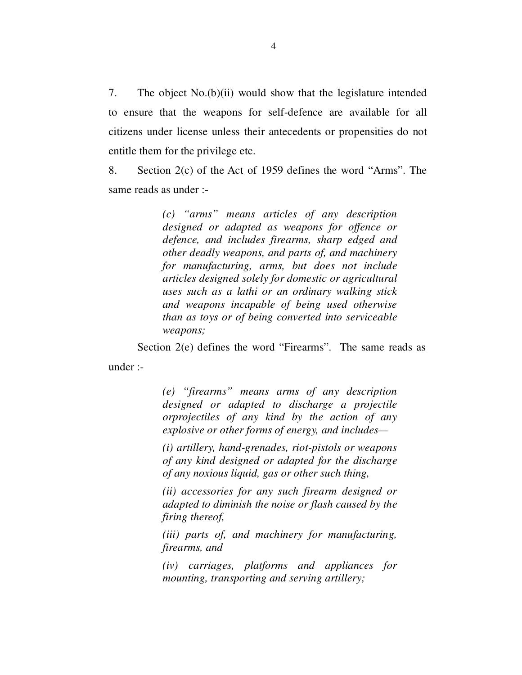7. The object No.(b)(ii) would show that the legislature intended to ensure that the weapons for self-defence are available for all citizens under license unless their antecedents or propensities do not entitle them for the privilege etc.

8. Section 2(c) of the Act of 1959 defines the word "Arms". The same reads as under :-

> *(c) "arms" means articles of any description designed or adapted as weapons for offence or defence, and includes firearms, sharp edged and other deadly weapons, and parts of, and machinery for manufacturing, arms, but does not include articles designed solely for domestic or agricultural uses such as a lathi or an ordinary walking stick and weapons incapable of being used otherwise than as toys or of being converted into serviceable weapons;*

Section 2(e) defines the word "Firearms". The same reads as

under :-

*(e) "firearms" means arms of any description designed or adapted to discharge a projectile orprojectiles of any kind by the action of any explosive or other forms of energy, and includes—* 

*(i) artillery, hand-grenades, riot-pistols or weapons of any kind designed or adapted for the discharge of any noxious liquid, gas or other such thing,* 

*(ii) accessories for any such firearm designed or adapted to diminish the noise or flash caused by the firing thereof,* 

*(iii) parts of, and machinery for manufacturing, firearms, and* 

*(iv) carriages, platforms and appliances for mounting, transporting and serving artillery;*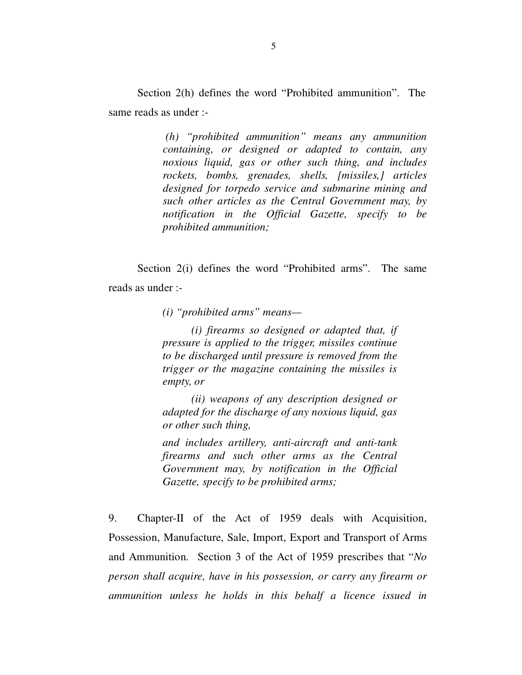Section 2(h) defines the word "Prohibited ammunition". The same reads as under :-

> *(h) "prohibited ammunition" means any ammunition containing, or designed or adapted to contain, any noxious liquid, gas or other such thing, and includes rockets, bombs, grenades, shells, [missiles,] articles designed for torpedo service and submarine mining and such other articles as the Central Government may, by notification in the Official Gazette, specify to be prohibited ammunition;*

Section 2(i) defines the word "Prohibited arms". The same reads as under :-

*(i) "prohibited arms" means—* 

*(i) firearms so designed or adapted that, if pressure is applied to the trigger, missiles continue to be discharged until pressure is removed from the trigger or the magazine containing the missiles is empty, or* 

*(ii) weapons of any description designed or adapted for the discharge of any noxious liquid, gas or other such thing,* 

*and includes artillery, anti-aircraft and anti-tank firearms and such other arms as the Central Government may, by notification in the Official Gazette, specify to be prohibited arms;* 

9. Chapter-II of the Act of 1959 deals with Acquisition, Possession, Manufacture, Sale, Import, Export and Transport of Arms and Ammunition. Section 3 of the Act of 1959 prescribes that "*No person shall acquire, have in his possession, or carry any firearm or ammunition unless he holds in this behalf a licence issued in*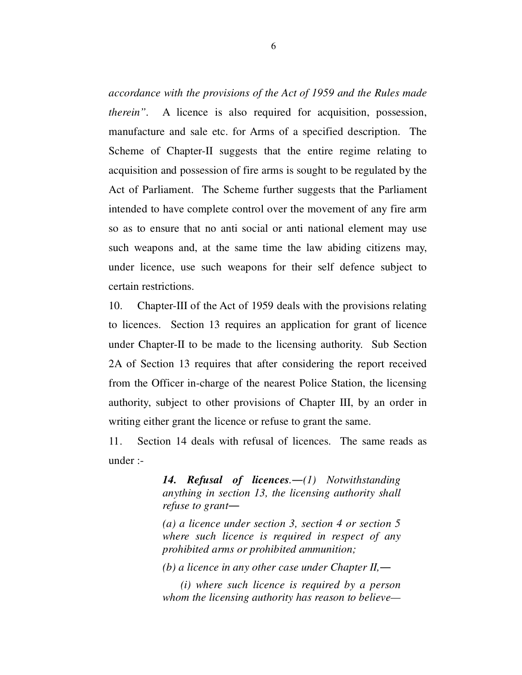*accordance with the provisions of the Act of 1959 and the Rules made therein"*. A licence is also required for acquisition, possession, manufacture and sale etc. for Arms of a specified description. The Scheme of Chapter-II suggests that the entire regime relating to acquisition and possession of fire arms is sought to be regulated by the Act of Parliament. The Scheme further suggests that the Parliament intended to have complete control over the movement of any fire arm so as to ensure that no anti social or anti national element may use such weapons and, at the same time the law abiding citizens may, under licence, use such weapons for their self defence subject to certain restrictions.

10. Chapter-III of the Act of 1959 deals with the provisions relating to licences. Section 13 requires an application for grant of licence under Chapter-II to be made to the licensing authority. Sub Section 2A of Section 13 requires that after considering the report received from the Officer in-charge of the nearest Police Station, the licensing authority, subject to other provisions of Chapter III, by an order in writing either grant the licence or refuse to grant the same.

11. Section 14 deals with refusal of licences. The same reads as under :-

> *14. Refusal of licences.―(1) Notwithstanding anything in section 13, the licensing authority shall refuse to grant―*

> *(a) a licence under section 3, section 4 or section 5 where such licence is required in respect of any prohibited arms or prohibited ammunition;*

*(b) a licence in any other case under Chapter II,―*

 *(i) where such licence is required by a person whom the licensing authority has reason to believe—*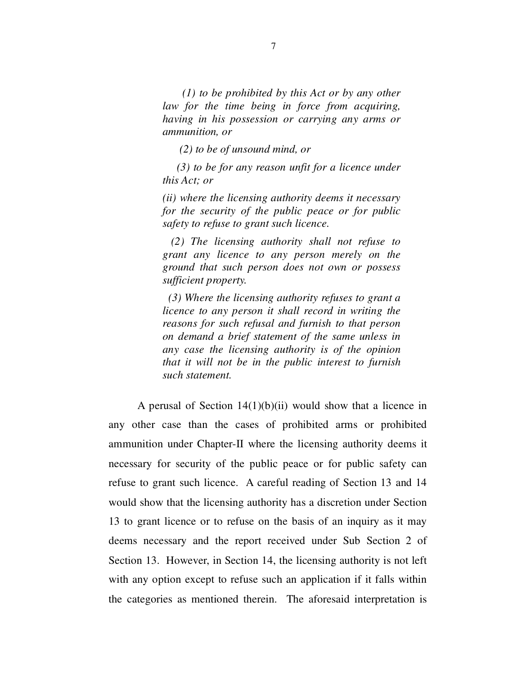*(1) to be prohibited by this Act or by any other law for the time being in force from acquiring, having in his possession or carrying any arms or ammunition, or* 

 *(2) to be of unsound mind, or* 

 *(3) to be for any reason unfit for a licence under this Act; or* 

*(ii) where the licensing authority deems it necessary for the security of the public peace or for public safety to refuse to grant such licence.* 

 *(2) The licensing authority shall not refuse to grant any licence to any person merely on the ground that such person does not own or possess sufficient property.* 

 *(3) Where the licensing authority refuses to grant a licence to any person it shall record in writing the reasons for such refusal and furnish to that person on demand a brief statement of the same unless in any case the licensing authority is of the opinion that it will not be in the public interest to furnish such statement.* 

A perusal of Section  $14(1)(b)(ii)$  would show that a licence in any other case than the cases of prohibited arms or prohibited ammunition under Chapter-II where the licensing authority deems it necessary for security of the public peace or for public safety can refuse to grant such licence. A careful reading of Section 13 and 14 would show that the licensing authority has a discretion under Section 13 to grant licence or to refuse on the basis of an inquiry as it may deems necessary and the report received under Sub Section 2 of Section 13. However, in Section 14, the licensing authority is not left with any option except to refuse such an application if it falls within the categories as mentioned therein. The aforesaid interpretation is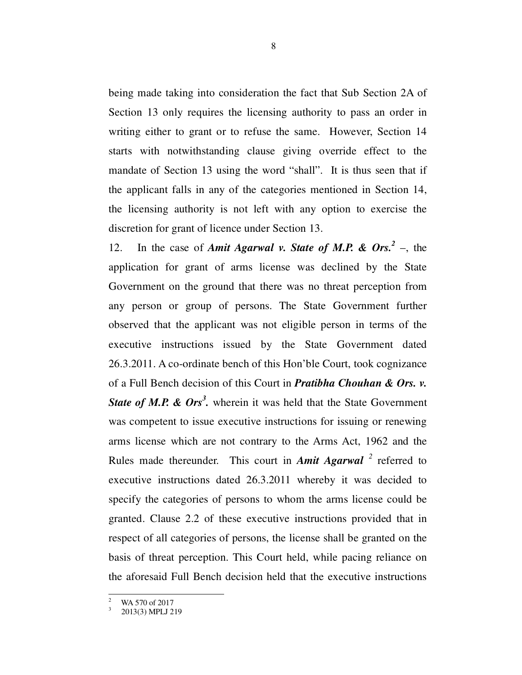being made taking into consideration the fact that Sub Section 2A of Section 13 only requires the licensing authority to pass an order in writing either to grant or to refuse the same. However, Section 14 starts with notwithstanding clause giving override effect to the mandate of Section 13 using the word "shall". It is thus seen that if the applicant falls in any of the categories mentioned in Section 14, the licensing authority is not left with any option to exercise the discretion for grant of licence under Section 13.

12. In the case of *Amit Agarwal v. State of M.P. & Ors.*<sup>2</sup> –, the application for grant of arms license was declined by the State Government on the ground that there was no threat perception from any person or group of persons. The State Government further observed that the applicant was not eligible person in terms of the executive instructions issued by the State Government dated 26.3.2011. A co-ordinate bench of this Hon'ble Court, took cognizance of a Full Bench decision of this Court in *Pratibha Chouhan & Ors. v.*  State of M.P. & Ors<sup>3</sup>. wherein it was held that the State Government was competent to issue executive instructions for issuing or renewing arms license which are not contrary to the Arms Act, 1962 and the Rules made thereunder. This court in *Amit Agarwal* <sup>2</sup> referred to executive instructions dated 26.3.2011 whereby it was decided to specify the categories of persons to whom the arms license could be granted. Clause 2.2 of these executive instructions provided that in respect of all categories of persons, the license shall be granted on the basis of threat perception. This Court held, while pacing reliance on the aforesaid Full Bench decision held that the executive instructions

<sup>-</sup>2 WA 570 of 2017

<sup>3</sup> 2013(3) MPLJ 219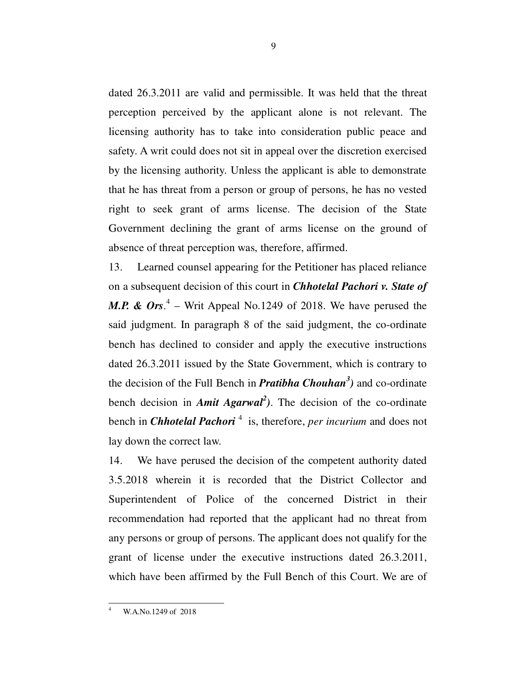dated 26.3.2011 are valid and permissible. It was held that the threat perception perceived by the applicant alone is not relevant. The licensing authority has to take into consideration public peace and safety. A writ could does not sit in appeal over the discretion exercised by the licensing authority. Unless the applicant is able to demonstrate that he has threat from a person or group of persons, he has no vested right to seek grant of arms license. The decision of the State Government declining the grant of arms license on the ground of absence of threat perception was, therefore, affirmed.

13. Learned counsel appearing for the Petitioner has placed reliance on a subsequent decision of this court in *Chhotelal Pachori v. State of M.P. & Ors.*<sup>4</sup> – Writ Appeal No.1249 of 2018. We have perused the said judgment. In paragraph 8 of the said judgment, the co-ordinate bench has declined to consider and apply the executive instructions dated 26.3.2011 issued by the State Government, which is contrary to the decision of the Full Bench in *Pratibha Chouhan<sup>3</sup> )* and co-ordinate bench decision in *Amit Agarwal<sup>2</sup> )*. The decision of the co-ordinate bench in *Chhotelal Pachori*<sup>4</sup> is, therefore, *per incurium* and does not lay down the correct law.

14. We have perused the decision of the competent authority dated 3.5.2018 wherein it is recorded that the District Collector and Superintendent of Police of the concerned District in their recommendation had reported that the applicant had no threat from any persons or group of persons. The applicant does not qualify for the grant of license under the executive instructions dated 26.3.2011, which have been affirmed by the Full Bench of this Court. We are of

-4

W.A.No.1249 of 2018